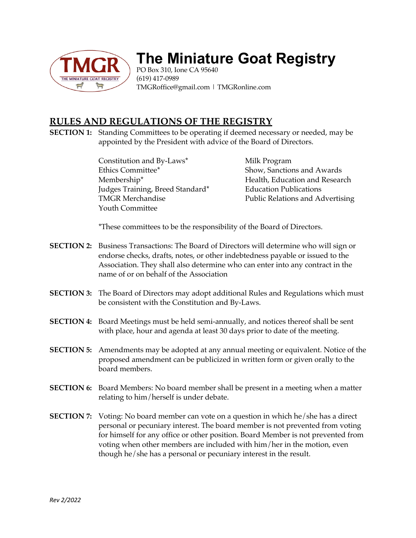

## **The Miniature Goat Registry**

PO Box 310, Ione CA 95640 (619) 417-0989 TMGRoffice@gmail.com | TMGRonline.com

## **RULES AND REGULATIONS OF THE REGISTRY**

**SECTION 1:** Standing Committees to be operating if deemed necessary or needed, may be appointed by the President with advice of the Board of Directors.

> Constitution and By-Laws<sup>\*</sup> Milk Program Ethics Committee\* Show, Sanctions and Awards Membership\* **Health, Education and Research** Judges Training, Breed Standard\* Education Publications Youth Committee

TMGR Merchandise Public Relations and Advertising

\*These committees to be the responsibility of the Board of Directors.

- **SECTION 2:** Business Transactions: The Board of Directors will determine who will sign or endorse checks, drafts, notes, or other indebtedness payable or issued to the Association. They shall also determine who can enter into any contract in the name of or on behalf of the Association
- **SECTION 3:** The Board of Directors may adopt additional Rules and Regulations which must be consistent with the Constitution and By-Laws.
- **SECTION 4:** Board Meetings must be held semi-annually, and notices thereof shall be sent with place, hour and agenda at least 30 days prior to date of the meeting.
- **SECTION 5:** Amendments may be adopted at any annual meeting or equivalent. Notice of the proposed amendment can be publicized in written form or given orally to the board members.
- **SECTION 6:** Board Members: No board member shall be present in a meeting when a matter relating to him/herself is under debate.
- **SECTION 7:** Voting: No board member can vote on a question in which he/she has a direct personal or pecuniary interest. The board member is not prevented from voting for himself for any office or other position. Board Member is not prevented from voting when other members are included with him/her in the motion, even though he/she has a personal or pecuniary interest in the result.